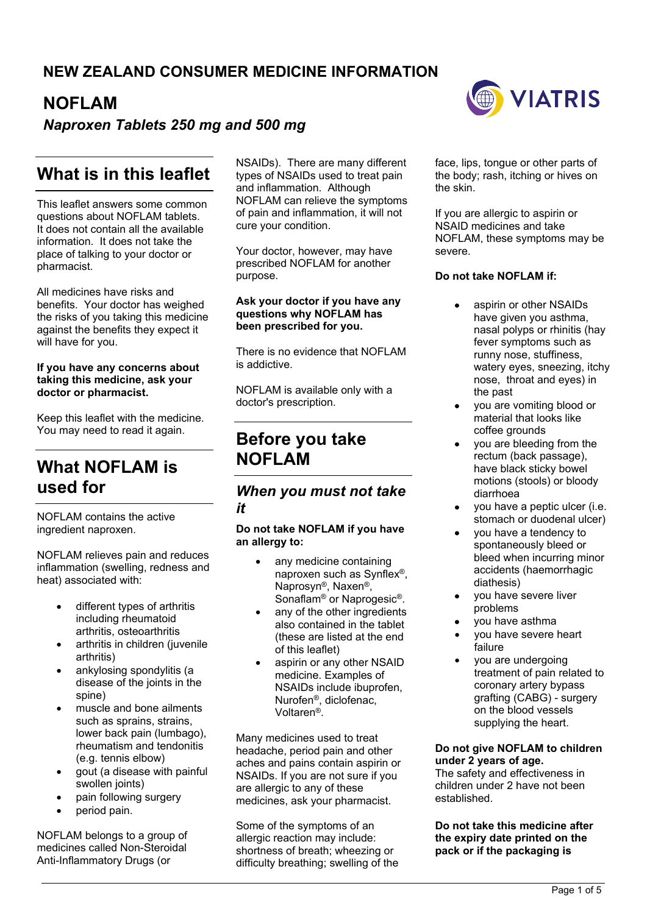## **NEW ZEALAND CONSUMER MEDICINE INFORMATION**

# **NOFLAM**

### *Naproxen Tablets 250 mg and 500 mg*

## **What is in this leaflet**

This leaflet answers some common questions about NOFLAM tablets. It does not contain all the available information. It does not take the place of talking to your doctor or pharmacist.

All medicines have risks and benefits. Your doctor has weighed the risks of you taking this medicine against the benefits they expect it will have for you.

#### **If you have any concerns about taking this medicine, ask your doctor or pharmacist.**

Keep this leaflet with the medicine. You may need to read it again.

# **What NOFLAM is used for**

NOFLAM contains the active ingredient naproxen.

NOFLAM relieves pain and reduces inflammation (swelling, redness and heat) associated with:

- different types of arthritis including rheumatoid arthritis, osteoarthritis
- arthritis in children (juvenile arthritis)
- ankylosing spondylitis (a disease of the joints in the spine)
- muscle and bone ailments such as sprains, strains, lower back pain (lumbago), rheumatism and tendonitis (e.g. tennis elbow)
- gout (a disease with painful swollen joints)
- pain following surgery
- period pain.

NOFLAM belongs to a group of medicines called Non-Steroidal Anti-Inflammatory Drugs (or

NSAIDs). There are many different types of NSAIDs used to treat pain and inflammation. Although NOFLAM can relieve the symptoms of pain and inflammation, it will not cure your condition.

Your doctor, however, may have prescribed NOFLAM for another purpose.

#### **Ask your doctor if you have any questions why NOFLAM has been prescribed for you.**

There is no evidence that NOFLAM is addictive.

NOFLAM is available only with a doctor's prescription.

## **Before you take NOFLAM**

### *When you must not take it*

**Do not take NOFLAM if you have an allergy to:**

- any medicine containing naproxen such as Synflex®, Naprosyn®, Naxen®, Sonaflam® or Naprogesic®.
- any of the other ingredients also contained in the tablet (these are listed at the end of this leaflet)
- aspirin or any other NSAID medicine. Examples of NSAIDs include ibuprofen, Nurofen®, diclofenac, Voltaren®.

Many medicines used to treat headache, period pain and other aches and pains contain aspirin or NSAIDs. If you are not sure if you are allergic to any of these medicines, ask your pharmacist.

Some of the symptoms of an allergic reaction may include: shortness of breath; wheezing or difficulty breathing; swelling of the



face, lips, tongue or other parts of the body; rash, itching or hives on the skin.

If you are allergic to aspirin or NSAID medicines and take NOFLAM, these symptoms may be severe.

#### **Do not take NOFLAM if:**

- aspirin or other NSAIDs have given you asthma, nasal polyps or rhinitis (hay fever symptoms such as runny nose, stuffiness, watery eyes, sneezing, itchy nose, throat and eyes) in the past
- you are vomiting blood or material that looks like coffee grounds
- you are bleeding from the rectum (back passage), have black sticky bowel motions (stools) or bloody diarrhoea
- you have a peptic ulcer (i.e. stomach or duodenal ulcer)
- you have a tendency to spontaneously bleed or bleed when incurring minor accidents (haemorrhagic diathesis)
- you have severe liver problems
- you have asthma
- you have severe heart failure
- you are undergoing treatment of pain related to coronary artery bypass grafting (CABG) - surgery on the blood vessels supplying the heart.

**Do not give NOFLAM to children under 2 years of age.**

The safety and effectiveness in children under 2 have not been established.

**Do not take this medicine after the expiry date printed on the pack or if the packaging is**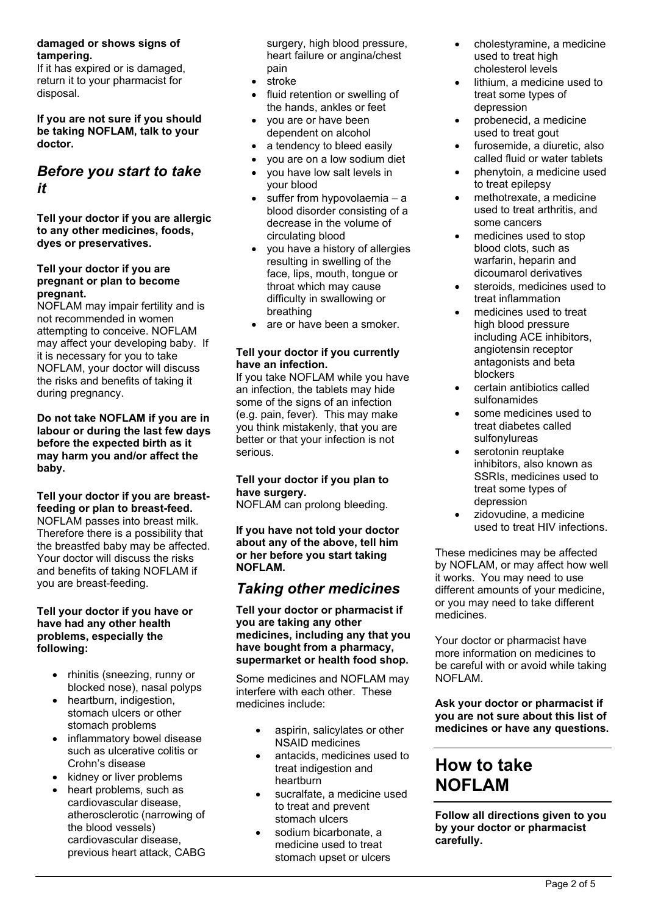#### **damaged or shows signs of tampering.**

If it has expired or is damaged, return it to your pharmacist for disposal.

**If you are not sure if you should be taking NOFLAM, talk to your doctor.**

### *Before you start to take it*

**Tell your doctor if you are allergic to any other medicines, foods, dyes or preservatives.** 

#### **Tell your doctor if you are pregnant or plan to become pregnant.**

NOFLAM may impair fertility and is not recommended in women attempting to conceive. NOFLAM may affect your developing baby. If it is necessary for you to take NOFLAM, your doctor will discuss the risks and benefits of taking it during pregnancy.

**Do not take NOFLAM if you are in labour or during the last few days before the expected birth as it may harm you and/or affect the baby.** 

#### **Tell your doctor if you are breastfeeding or plan to breast-feed.**

NOFLAM passes into breast milk. Therefore there is a possibility that the breastfed baby may be affected. Your doctor will discuss the risks and benefits of taking NOFLAM if you are breast-feeding.

#### **Tell your doctor if you have or have had any other health problems, especially the following:**

- rhinitis (sneezing, runny or blocked nose), nasal polyps
- heartburn, indigestion, stomach ulcers or other stomach problems
- inflammatory bowel disease such as ulcerative colitis or Crohn's disease
- kidney or liver problems
- heart problems, such as cardiovascular disease, atherosclerotic (narrowing of the blood vessels) cardiovascular disease, previous heart attack, CABG

surgery, high blood pressure, heart failure or angina/chest pain

- stroke
- fluid retention or swelling of the hands, ankles or feet
- you are or have been dependent on alcohol
- a tendency to bleed easily
- you are on a low sodium diet
- you have low salt levels in your blood
- suffer from hypovolaemia a blood disorder consisting of a decrease in the volume of circulating blood
- you have a history of allergies resulting in swelling of the face, lips, mouth, tongue or throat which may cause difficulty in swallowing or breathing
- are or have been a smoker.

#### **Tell your doctor if you currently have an infection.**

If you take NOFLAM while you have an infection, the tablets may hide some of the signs of an infection (e.g. pain, fever). This may make you think mistakenly, that you are better or that your infection is not serious.

#### **Tell your doctor if you plan to have surgery.**

NOFLAM can prolong bleeding.

**If you have not told your doctor about any of the above, tell him or her before you start taking NOFLAM.**

## *Taking other medicines*

**Tell your doctor or pharmacist if you are taking any other medicines, including any that you have bought from a pharmacy, supermarket or health food shop.**

Some medicines and NOFLAM may interfere with each other. These medicines include:

- aspirin, salicylates or other NSAID medicines
- antacids, medicines used to treat indigestion and heartburn
- sucralfate, a medicine used to treat and prevent stomach ulcers
- sodium bicarbonate, a medicine used to treat stomach upset or ulcers
- cholestyramine, a medicine used to treat high cholesterol levels
- lithium, a medicine used to treat some types of depression
- probenecid, a medicine used to treat gout
- furosemide, a diuretic, also called fluid or water tablets
- phenytoin, a medicine used to treat epilepsy
- methotrexate, a medicine used to treat arthritis, and some cancers
- medicines used to stop blood clots, such as warfarin, heparin and dicoumarol derivatives
- steroids, medicines used to treat inflammation
- medicines used to treat high blood pressure including ACE inhibitors, angiotensin receptor antagonists and beta blockers
- certain antibiotics called sulfonamides
- some medicines used to treat diabetes called sulfonylureas
- serotonin reuptake inhibitors, also known as SSRIs, medicines used to treat some types of depression
- zidovudine, a medicine used to treat HIV infections.

These medicines may be affected by NOFLAM, or may affect how well it works. You may need to use different amounts of your medicine, or you may need to take different medicines.

Your doctor or pharmacist have more information on medicines to be careful with or avoid while taking NOFLAM.

**Ask your doctor or pharmacist if you are not sure about this list of medicines or have any questions.**

# **How to take NOFLAM**

**Follow all directions given to you by your doctor or pharmacist carefully.**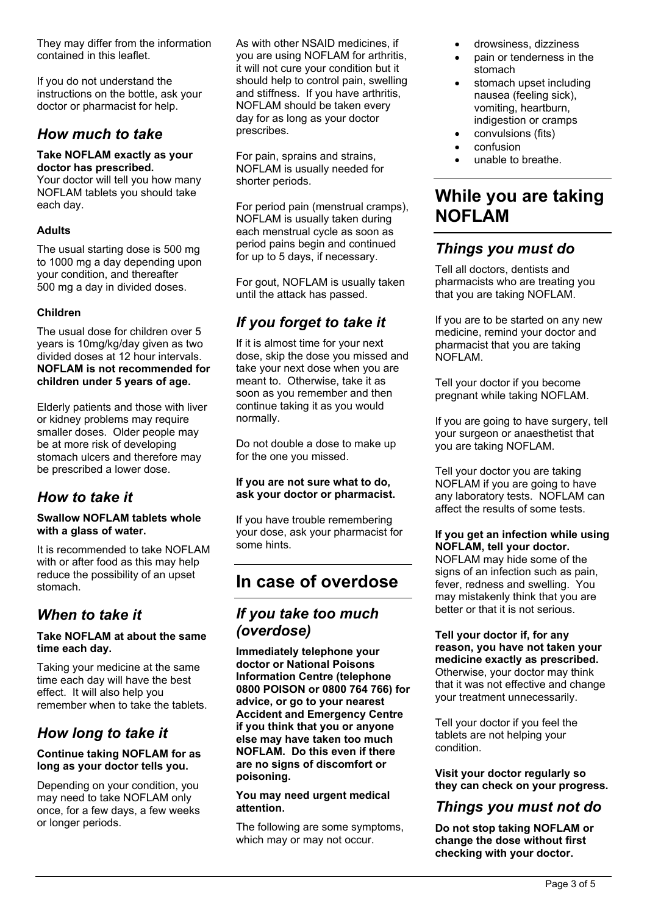They may differ from the information contained in this leaflet.

If you do not understand the instructions on the bottle, ask your doctor or pharmacist for help.

### *How much to take*

#### **Take NOFLAM exactly as your doctor has prescribed.**

Your doctor will tell you how many NOFLAM tablets you should take each day.

#### **Adults**

The usual starting dose is 500 mg to 1000 mg a day depending upon your condition, and thereafter 500 mg a day in divided doses.

#### **Children**

The usual dose for children over 5 years is 10mg/kg/day given as two divided doses at 12 hour intervals. **NOFLAM is not recommended for children under 5 years of age.**

Elderly patients and those with liver or kidney problems may require smaller doses. Older people may be at more risk of developing stomach ulcers and therefore may be prescribed a lower dose.

### *How to take it*

#### **Swallow NOFLAM tablets whole with a glass of water.**

It is recommended to take NOFLAM with or after food as this may help reduce the possibility of an upset stomach.

### *When to take it*

#### **Take NOFLAM at about the same time each day.**

Taking your medicine at the same time each day will have the best effect. It will also help you remember when to take the tablets.

### *How long to take it*

#### **Continue taking NOFLAM for as long as your doctor tells you.**

Depending on your condition, you may need to take NOFLAM only once, for a few days, a few weeks or longer periods.

As with other NSAID medicines, if you are using NOFLAM for arthritis, it will not cure your condition but it should help to control pain, swelling and stiffness. If you have arthritis, NOFLAM should be taken every day for as long as your doctor prescribes.

For pain, sprains and strains, NOFLAM is usually needed for shorter periods.

For period pain (menstrual cramps), NOFLAM is usually taken during each menstrual cycle as soon as period pains begin and continued for up to 5 days, if necessary.

For gout, NOFLAM is usually taken until the attack has passed.

## *If you forget to take it*

If it is almost time for your next dose, skip the dose you missed and take your next dose when you are meant to. Otherwise, take it as soon as you remember and then continue taking it as you would normally.

Do not double a dose to make up for the one you missed.

#### **If you are not sure what to do, ask your doctor or pharmacist.**

If you have trouble remembering your dose, ask your pharmacist for some hints.

## **In case of overdose**

### *If you take too much (overdose)*

**Immediately telephone your doctor or National Poisons Information Centre (telephone 0800 POISON or 0800 764 766) for advice, or go to your nearest Accident and Emergency Centre if you think that you or anyone else may have taken too much NOFLAM. Do this even if there are no signs of discomfort or poisoning.**

**You may need urgent medical attention.**

The following are some symptoms, which may or may not occur.

- drowsiness, dizziness
- pain or tenderness in the stomach
- stomach upset including nausea (feeling sick), vomiting, heartburn, indigestion or cramps
- convulsions (fits)
- confusion
- unable to breathe.

# **While you are taking NOFLAM**

### *Things you must do*

Tell all doctors, dentists and pharmacists who are treating you that you are taking NOFLAM.

If you are to be started on any new medicine, remind your doctor and pharmacist that you are taking NOFLAM.

Tell your doctor if you become pregnant while taking NOFLAM.

If you are going to have surgery, tell your surgeon or anaesthetist that you are taking NOFLAM.

Tell your doctor you are taking NOFLAM if you are going to have any laboratory tests. NOFLAM can affect the results of some tests.

### **If you get an infection while using NOFLAM, tell your doctor.**

NOFLAM may hide some of the signs of an infection such as pain, fever, redness and swelling. You may mistakenly think that you are better or that it is not serious.

#### **Tell your doctor if, for any reason, you have not taken your medicine exactly as prescribed.**

Otherwise, your doctor may think that it was not effective and change your treatment unnecessarily.

Tell your doctor if you feel the tablets are not helping your condition.

**Visit your doctor regularly so they can check on your progress.**

### *Things you must not do*

**Do not stop taking NOFLAM or change the dose without first checking with your doctor.**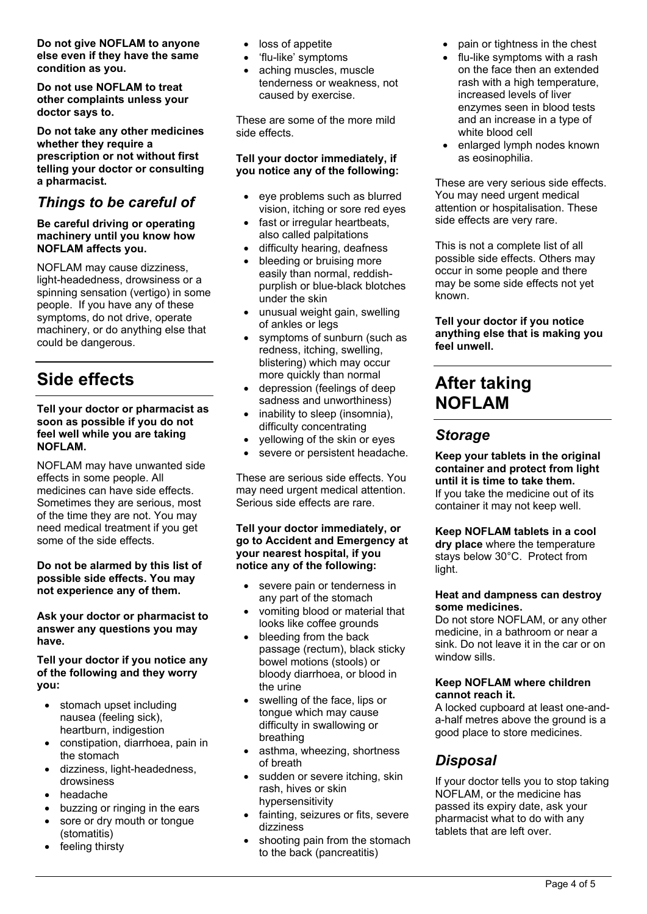**Do not give NOFLAM to anyone else even if they have the same condition as you.**

**Do not use NOFLAM to treat other complaints unless your doctor says to.**

**Do not take any other medicines whether they require a prescription or not without first telling your doctor or consulting a pharmacist.**

## *Things to be careful of*

**Be careful driving or operating machinery until you know how NOFLAM affects you.**

NOFLAM may cause dizziness, light-headedness, drowsiness or a spinning sensation (vertigo) in some people. If you have any of these symptoms, do not drive, operate machinery, or do anything else that could be dangerous.

# **Side effects**

#### **Tell your doctor or pharmacist as soon as possible if you do not feel well while you are taking NOFLAM.**

NOFLAM may have unwanted side effects in some people. All medicines can have side effects. Sometimes they are serious, most of the time they are not. You may need medical treatment if you get some of the side effects.

**Do not be alarmed by this list of possible side effects. You may not experience any of them.**

**Ask your doctor or pharmacist to answer any questions you may have.**

#### **Tell your doctor if you notice any of the following and they worry you:**

- stomach upset including nausea (feeling sick), heartburn, indigestion
- constipation, diarrhoea, pain in the stomach
- dizziness, light-headedness, drowsiness
- headache
- buzzing or ringing in the ears
- sore or dry mouth or tongue (stomatitis)
- feeling thirsty
- loss of appetite
- 'flu-like' symptoms
- aching muscles, muscle tenderness or weakness, not caused by exercise.

These are some of the more mild side effects.

#### **Tell your doctor immediately, if you notice any of the following:**

- eye problems such as blurred vision, itching or sore red eyes
- fast or irregular heartbeats, also called palpitations
- difficulty hearing, deafness
- bleeding or bruising more easily than normal, reddishpurplish or blue-black blotches under the skin
- unusual weight gain, swelling of ankles or legs
- symptoms of sunburn (such as redness, itching, swelling, blistering) which may occur more quickly than normal
- depression (feelings of deep sadness and unworthiness)
- inability to sleep (insomnia), difficulty concentrating
- yellowing of the skin or eyes
- severe or persistent headache.

These are serious side effects. You may need urgent medical attention. Serious side effects are rare.

**Tell your doctor immediately, or go to Accident and Emergency at your nearest hospital, if you notice any of the following:**

- severe pain or tenderness in any part of the stomach
- vomiting blood or material that looks like coffee grounds
- bleeding from the back passage (rectum), black sticky bowel motions (stools) or bloody diarrhoea, or blood in the urine
- swelling of the face, lips or tongue which may cause difficulty in swallowing or breathing
- asthma, wheezing, shortness of breath
- sudden or severe itching, skin rash, hives or skin hypersensitivity
- fainting, seizures or fits, severe dizziness
- shooting pain from the stomach to the back (pancreatitis)
- pain or tightness in the chest
- flu-like symptoms with a rash on the face then an extended rash with a high temperature. increased levels of liver enzymes seen in blood tests and an increase in a type of white blood cell
- enlarged lymph nodes known as eosinophilia.

These are very serious side effects. You may need urgent medical attention or hospitalisation. These side effects are very rare.

This is not a complete list of all possible side effects. Others may occur in some people and there may be some side effects not yet known.

**Tell your doctor if you notice anything else that is making you feel unwell.**

## **After taking NOFLAM**

### *Storage*

**Keep your tablets in the original container and protect from light until it is time to take them.** If you take the medicine out of its container it may not keep well.

**Keep NOFLAM tablets in a cool** 

**dry place** where the temperature stays below 30°C. Protect from light.

#### **Heat and dampness can destroy some medicines.**

Do not store NOFLAM, or any other medicine, in a bathroom or near a sink. Do not leave it in the car or on window sills.

#### **Keep NOFLAM where children cannot reach it.**

A locked cupboard at least one-anda-half metres above the ground is a good place to store medicines.

## *Disposal*

If your doctor tells you to stop taking NOFLAM, or the medicine has passed its expiry date, ask your pharmacist what to do with any tablets that are left over.